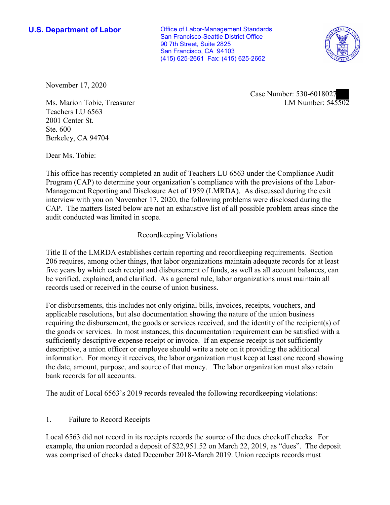**U.S. Department of Labor Conservative Conservative Conservative Conservative U.S.** Department of Labor San Francisco-Seattle District Office 90 7th Street, Suite 2825 San Francisco, CA 94103 (415) 625-2661 Fax: (415) 625-2662



November 17, 2020

LM Number: 545502 Case Number: 530-6018027

Ms. Marion Tobie, Treasurer Teachers LU 6563 2001 Center St. Ste. 600 Berkeley, CA 94704

Dear Ms. Tobie:

 This office has recently completed an audit of Teachers LU 6563 under the Compliance Audit Program (CAP) to determine your organization's compliance with the provisions of the Labor-Management Reporting and Disclosure Act of 1959 (LMRDA). As discussed during the exit interview with you on November 17, 2020, the following problems were disclosed during the CAP. The matters listed below are not an exhaustive list of all possible problem areas since the audit conducted was limited in scope.

## Recordkeeping Violations

 Title II of the LMRDA establishes certain reporting and recordkeeping requirements. Section 206 requires, among other things, that labor organizations maintain adequate records for at least five years by which each receipt and disbursement of funds, as well as all account balances, can be verified, explained, and clarified. As a general rule, labor organizations must maintain all records used or received in the course of union business.

For disbursements, this includes not only original bills, invoices, receipts, vouchers, and applicable resolutions, but also documentation showing the nature of the union business requiring the disbursement, the goods or services received, and the identity of the recipient(s) of the goods or services. In most instances, this documentation requirement can be satisfied with a sufficiently descriptive expense receipt or invoice. If an expense receipt is not sufficiently descriptive, a union officer or employee should write a note on it providing the additional information. For money it receives, the labor organization must keep at least one record showing the date, amount, purpose, and source of that money. The labor organization must also retain bank records for all accounts.

The audit of Local 6563's 2019 records revealed the following recordkeeping violations:

## 1. Failure to Record Receipts

Local 6563 did not record in its receipts records the source of the dues checkoff checks. For example, the union recorded a deposit of [\\$22,951.52](https://22,951.52) on March 22, 2019, as "dues". The deposit was comprised of checks dated December 2018-March 2019. Union receipts records must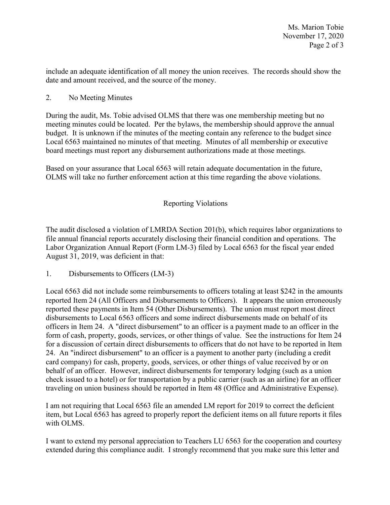date and amount received, and the source of the money. include an adequate identification of all money the union receives. The records should show the

2. No Meeting Minutes

 meeting minutes could be located. Per the bylaws, the membership should approve the annual During the audit, Ms. Tobie advised OLMS that there was one membership meeting but no budget. It is unknown if the minutes of the meeting contain any reference to the budget since Local 6563 maintained no minutes of that meeting. Minutes of all membership or executive board meetings must report any disbursement authorizations made at those meetings.

 Based on your assurance that Local 6563 will retain adequate documentation in the future, OLMS will take no further enforcement action at this time regarding the above violations.

## Reporting Violations

 Labor Organization Annual Report (Form LM-3) filed by Local 6563 for the fiscal year ended The audit disclosed a violation of LMRDA Section 201(b), which requires labor organizations to file annual financial reports accurately disclosing their financial condition and operations. The

August 31, 2019, was deficient in that:<br>1. Disbursements to Officers (LM-3)

 24. An "indirect disbursement" to an officer is a payment to another party (including a credit check issued to a hotel) or for transportation by a public carrier (such as an airline) for an officer Local 6563 did not include some reimbursements to officers totaling at least \$242 in the amounts reported Item 24 (All Officers and Disbursements to Officers). It appears the union erroneously reported these payments in Item 54 (Other Disbursements). The union must report most direct disbursements to Local 6563 officers and some indirect disbursements made on behalf of its officers in Item 24. A "direct disbursement" to an officer is a payment made to an officer in the form of cash, property, goods, services, or other things of value. See the instructions for Item 24 for a discussion of certain direct disbursements to officers that do not have to be reported in Item card company) for cash, property, goods, services, or other things of value received by or on behalf of an officer. However, indirect disbursements for temporary lodging (such as a union traveling on union business should be reported in Item 48 (Office and Administrative Expense).

I am not requiring that Local 6563 file an amended LM report for 2019 to correct the deficient item, but Local 6563 has agreed to properly report the deficient items on all future reports it files with OLMS.

I want to extend my personal appreciation to Teachers LU 6563 for the cooperation and courtesy extended during this compliance audit. I strongly recommend that you make sure this letter and